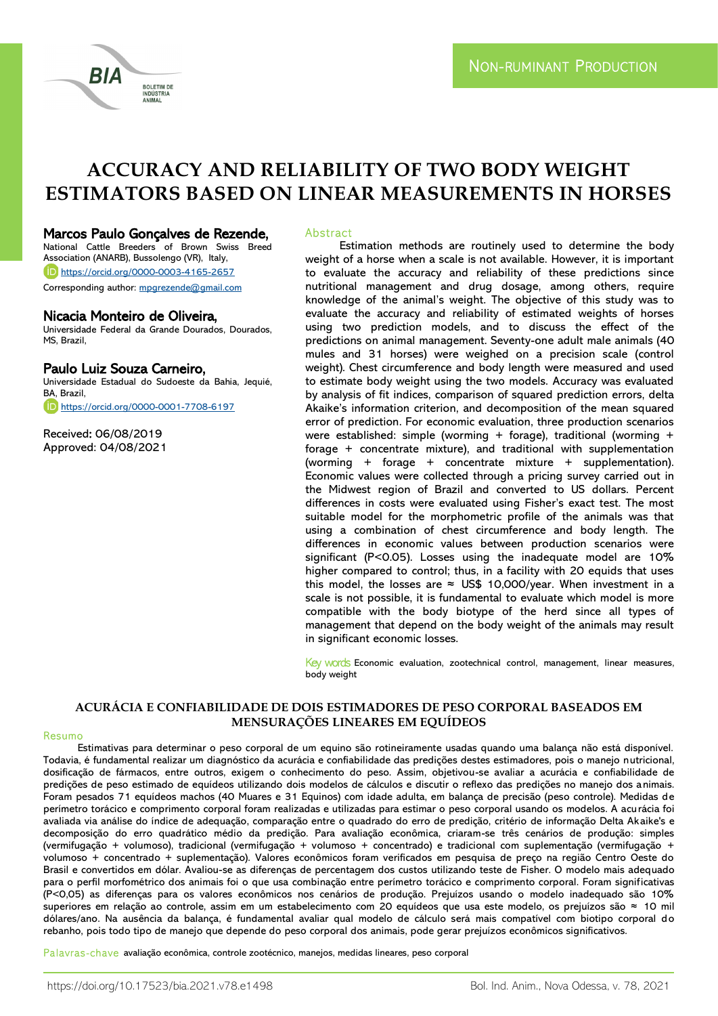

# **ACCURACY AND RELIABILITY OF TWO BODY WEIGHT ESTIMATORS BASED ON LINEAR MEASUREMENTS IN HORSES**

### Marcos Paulo Gonçalves de Rezende,

National Cattle Breeders of Brown Swiss Breed Association (ANARB), Bussolengo (VR), Italy, <https://orcid.org/0000-0003-4165-2657> Corresponding author: [mpgrezende@gmail.com](mailto:mpgrezende@gmail.com)

#### Nicacia Monteiro de Oliveira,

Universidade Federal da Grande Dourados, Dourados, MS, Brazil,

# Paulo Luiz Souza Carneiro,

Universidade Estadual do Sudoeste da Bahia, Jequié, BA, Brazil, <https://orcid.org/0000-0001-7708-6197>

Received: 06/08/2019 Approved: 04/08/2021

#### Abstract

Estimation methods are routinely used to determine the body weight of a horse when a scale is not available. However, it is important to evaluate the accuracy and reliability of these predictions since nutritional management and drug dosage, among others, require knowledge of the animal's weight. The objective of this study was to evaluate the accuracy and reliability of estimated weights of horses using two prediction models, and to discuss the effect of the predictions on animal management. Seventy-one adult male animals (40 mules and 31 horses) were weighed on a precision scale (control weight). Chest circumference and body length were measured and used to estimate body weight using the two models. Accuracy was evaluated by analysis of fit indices, comparison of squared prediction errors, delta Akaike's information criterion, and decomposition of the mean squared error of prediction. For economic evaluation, three production scenarios were established: simple (worming + forage), traditional (worming + forage + concentrate mixture), and traditional with supplementation (worming + forage + concentrate mixture + supplementation). Economic values were collected through a pricing survey carried out in the Midwest region of Brazil and converted to US dollars. Percent differences in costs were evaluated using Fisher's exact test. The most suitable model for the morphometric profile of the animals was that using a combination of chest circumference and body length. The differences in economic values between production scenarios were significant (P<0.05). Losses using the inadequate model are 10% higher compared to control; thus, in a facility with 20 equids that uses this model, the losses are  $\approx$  US\$ 10,000/year. When investment in a scale is not possible, it is fundamental to evaluate which model is more compatible with the body biotype of the herd since all types of management that depend on the body weight of the animals may result in significant economic losses.

Key words Economic evaluation, zootechnical control, management, linear measures, body weight

#### **ACURÁCIA E CONFIABILIDADE DE DOIS ESTIMADORES DE PESO CORPORAL BASEADOS EM MENSURAÇÕES LINEARES EM EQUÍDEOS**

#### Resumo

Estimativas para determinar o peso corporal de um equino são rotineiramente usadas quando uma balança não está disponível. Todavia, é fundamental realizar um diagnóstico da acurácia e confiabilidade das predições destes estimadores, pois o manejo nutricional, dosificação de fármacos, entre outros, exigem o conhecimento do peso. Assim, objetivou-se avaliar a acurácia e confiabilidade de predições de peso estimado de equídeos utilizando dois modelos de cálculos e discutir o reflexo das predições no manejo dos animais. Foram pesados 71 equídeos machos (40 Muares e 31 Equinos) com idade adulta, em balança de precisão (peso controle). Medidas de perímetro torácico e comprimento corporal foram realizadas e utilizadas para estimar o peso corporal usando os modelos. A acurácia foi avaliada via análise do índice de adequação, comparação entre o quadrado do erro de predição, critério de informação Delta Akaike's e decomposição do erro quadrático médio da predição. Para avaliação econômica, criaram-se três cenários de produção: simples (vermifugação + volumoso), tradicional (vermifugação + volumoso + concentrado) e tradicional com suplementação (vermifugação + volumoso + concentrado + suplementação). Valores econômicos foram verificados em pesquisa de preço na região Centro Oeste do Brasil e convertidos em dólar. Avaliou-se as diferenças de percentagem dos custos utilizando teste de Fisher. O modelo mais adequado para o perfil morfométrico dos animais foi o que usa combinação entre perímetro torácico e comprimento corporal. Foram significativas (P<0,05) as diferenças para os valores econômicos nos cenários de produção. Prejuízos usando o modelo inadequado são 10% superiores em relação ao controle, assim em um estabelecimento com 20 equídeos que usa este modelo, os prejuízos são ≈ 10 mil dólares/ano. Na ausência da balança, é fundamental avaliar qual modelo de cálculo será mais compatível com biotipo corporal do rebanho, pois todo tipo de manejo que depende do peso corporal dos animais, pode gerar prejuízos econômicos significativos.

Palavras-chave avaliação econômica, controle zootécnico, manejos, medidas lineares, peso corporal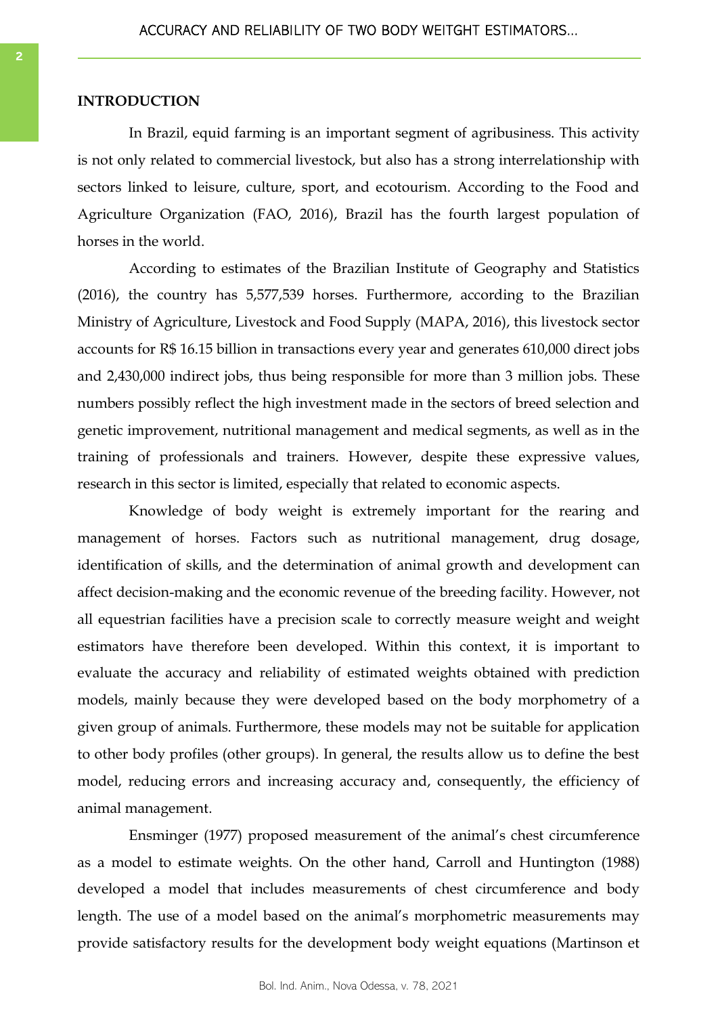# **INTRODUCTION**

In Brazil, equid farming is an important segment of agribusiness. This activity is not only related to commercial livestock, but also has a strong interrelationship with sectors linked to leisure, culture, sport, and ecotourism. According to the Food and Agriculture Organization (FAO, 2016), Brazil has the fourth largest population of horses in the world.

According to estimates of the Brazilian Institute of Geography and Statistics (2016), the country has 5,577,539 horses. Furthermore, according to the Brazilian Ministry of Agriculture, Livestock and Food Supply (MAPA, 2016), this livestock sector accounts for R\$ 16.15 billion in transactions every year and generates 610,000 direct jobs and 2,430,000 indirect jobs, thus being responsible for more than 3 million jobs. These numbers possibly reflect the high investment made in the sectors of breed selection and genetic improvement, nutritional management and medical segments, as well as in the training of professionals and trainers. However, despite these expressive values, research in this sector is limited, especially that related to economic aspects.

Knowledge of body weight is extremely important for the rearing and management of horses. Factors such as nutritional management, drug dosage, identification of skills, and the determination of animal growth and development can affect decision-making and the economic revenue of the breeding facility. However, not all equestrian facilities have a precision scale to correctly measure weight and weight estimators have therefore been developed. Within this context, it is important to evaluate the accuracy and reliability of estimated weights obtained with prediction models, mainly because they were developed based on the body morphometry of a given group of animals. Furthermore, these models may not be suitable for application to other body profiles (other groups). In general, the results allow us to define the best model, reducing errors and increasing accuracy and, consequently, the efficiency of animal management.

Ensminger (1977) proposed measurement of the animal's chest circumference as a model to estimate weights. On the other hand, Carroll and Huntington (1988) developed a model that includes measurements of chest circumference and body length. The use of a model based on the animal's morphometric measurements may provide satisfactory results for the development body weight equations (Martinson et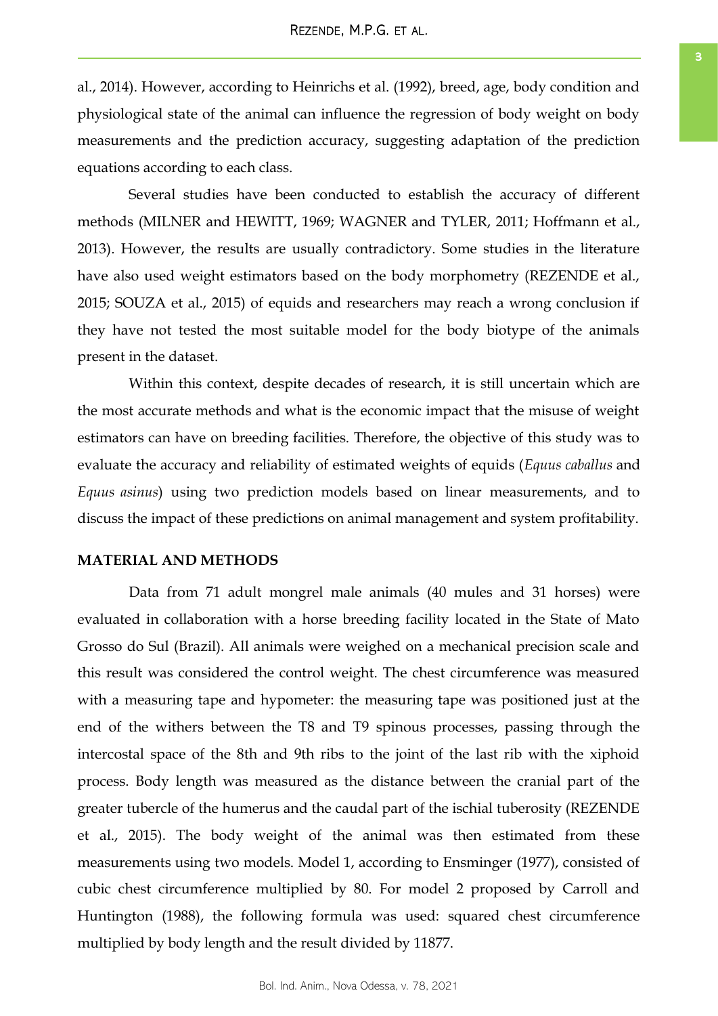al., 2014). However, according to Heinrichs et al. (1992), breed, age, body condition and physiological state of the animal can influence the regression of body weight on body measurements and the prediction accuracy, suggesting adaptation of the prediction equations according to each class.

Several studies have been conducted to establish the accuracy of different methods (MILNER and HEWITT, 1969; WAGNER and TYLER, 2011; Hoffmann et al., 2013). However, the results are usually contradictory. Some studies in the literature have also used weight estimators based on the body morphometry (REZENDE et al., 2015; SOUZA et al., 2015) of equids and researchers may reach a wrong conclusion if they have not tested the most suitable model for the body biotype of the animals present in the dataset.

Within this context, despite decades of research, it is still uncertain which are the most accurate methods and what is the economic impact that the misuse of weight estimators can have on breeding facilities. Therefore, the objective of this study was to evaluate the accuracy and reliability of estimated weights of equids (*Equus caballus* and *Equus asinus*) using two prediction models based on linear measurements, and to discuss the impact of these predictions on animal management and system profitability.

### **MATERIAL AND METHODS**

Data from 71 adult mongrel male animals (40 mules and 31 horses) were evaluated in collaboration with a horse breeding facility located in the State of Mato Grosso do Sul (Brazil). All animals were weighed on a mechanical precision scale and this result was considered the control weight. The chest circumference was measured with a measuring tape and hypometer: the measuring tape was positioned just at the end of the withers between the T8 and T9 spinous processes, passing through the intercostal space of the 8th and 9th ribs to the joint of the last rib with the xiphoid process. Body length was measured as the distance between the cranial part of the greater tubercle of the humerus and the caudal part of the ischial tuberosity (REZENDE et al., 2015). The body weight of the animal was then estimated from these measurements using two models. Model 1, according to Ensminger (1977), consisted of cubic chest circumference multiplied by 80. For model 2 proposed by Carroll and Huntington (1988), the following formula was used: squared chest circumference multiplied by body length and the result divided by 11877.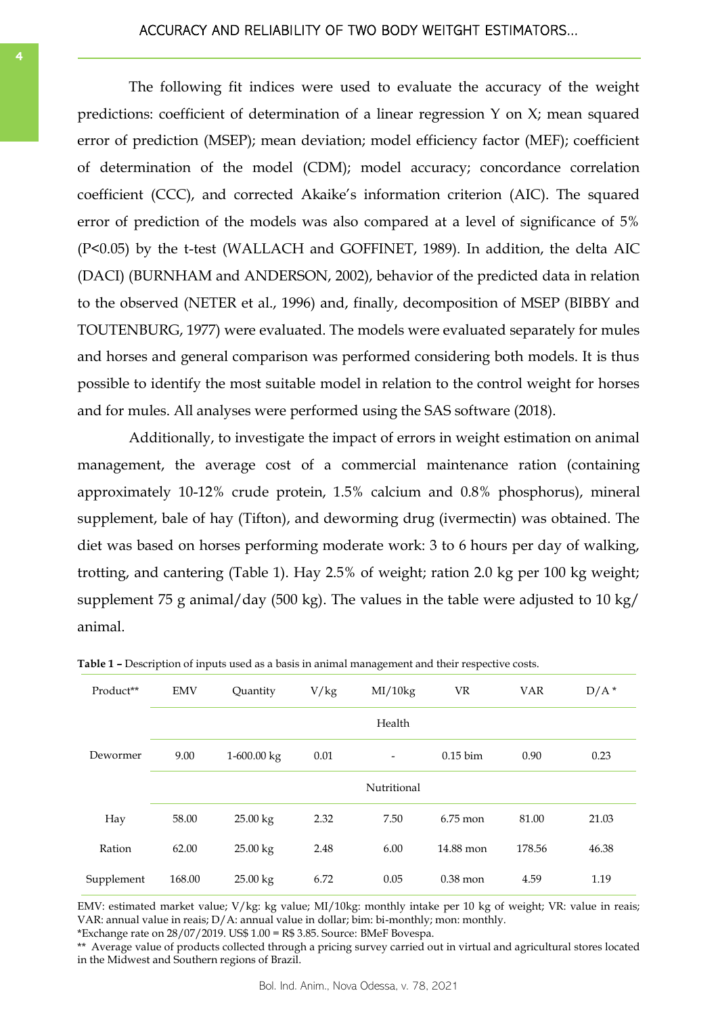# ACCURACY AND RELIABILITY OF TWO BODY WEITGHT ESTIMATORS...

The following fit indices were used to evaluate the accuracy of the weight predictions: coefficient of determination of a linear regression Y on X; mean squared error of prediction (MSEP); mean deviation; model efficiency factor (MEF); coefficient of determination of the model (CDM); model accuracy; concordance correlation coefficient (CCC), and corrected Akaike's information criterion (AIC). The squared error of prediction of the models was also compared at a level of significance of 5% (P<0.05) by the t-test (WALLACH and GOFFINET, 1989). In addition, the delta AIC (DACI) (BURNHAM and ANDERSON, 2002), behavior of the predicted data in relation to the observed (NETER et al., 1996) and, finally, decomposition of MSEP (BIBBY and TOUTENBURG, 1977) were evaluated. The models were evaluated separately for mules and horses and general comparison was performed considering both models. It is thus possible to identify the most suitable model in relation to the control weight for horses and for mules. All analyses were performed using the SAS software (2018).

Additionally, to investigate the impact of errors in weight estimation on animal management, the average cost of a commercial maintenance ration (containing approximately 10-12% crude protein, 1.5% calcium and 0.8% phosphorus), mineral supplement, bale of hay (Tifton), and deworming drug (ivermectin) was obtained. The diet was based on horses performing moderate work: 3 to 6 hours per day of walking, trotting, and cantering (Table 1). Hay 2.5% of weight; ration 2.0 kg per 100 kg weight; supplement 75 g animal/day (500 kg). The values in the table were adjusted to 10 kg/ animal.

| Product**  | <b>EMV</b> | Quantity    | V/kg | MI/10kg                  | VR                     | <b>VAR</b> | $D/A^*$ |
|------------|------------|-------------|------|--------------------------|------------------------|------------|---------|
|            |            |             |      | Health                   |                        |            |         |
| Dewormer   | 9.00       | 1-600.00 kg | 0.01 | $\overline{\phantom{0}}$ | $0.15 \,\mathrm{b}$ im | 0.90       | 0.23    |
|            |            |             |      | Nutritional              |                        |            |         |
| Hay        | 58.00      | 25.00 kg    | 2.32 | 7.50                     | $6.75$ mon             | 81.00      | 21.03   |
| Ration     | 62.00      | 25.00 kg    | 2.48 | 6.00                     | 14.88 mon              | 178.56     | 46.38   |
| Supplement | 168.00     | 25.00 kg    | 6.72 | 0.05                     | $0.38$ mon             | 4.59       | 1.19    |

**Table 1 –** Description of inputs used as a basis in animal management and their respective costs.

EMV: estimated market value; V/kg: kg value; MI/10kg: monthly intake per 10 kg of weight; VR: value in reais; VAR: annual value in reais; D/A: annual value in dollar; bim: bi-monthly; mon: monthly.

\*Exchange rate on  $28/07/2019$ . US\$  $1.00 = R\$  3.85. Source: BMeF Bovespa.

\*\* Average value of products collected through a pricing survey carried out in virtual and agricultural stores located in the Midwest and Southern regions of Brazil.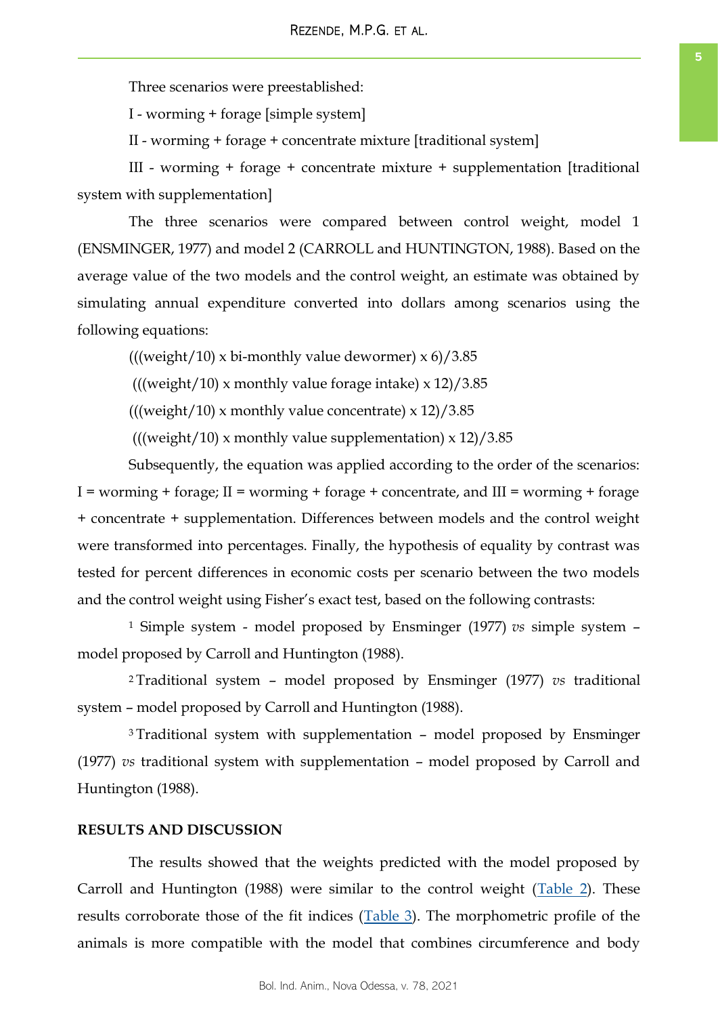Three scenarios were preestablished:

I - worming + forage [simple system]

II - worming + forage + concentrate mixture [traditional system]

III - worming + forage + concentrate mixture + supplementation [traditional system with supplementation]

The three scenarios were compared between control weight, model 1 (ENSMINGER, 1977) and model 2 (CARROLL and HUNTINGTON, 1988). Based on the average value of the two models and the control weight, an estimate was obtained by simulating annual expenditure converted into dollars among scenarios using the following equations:

(((weight/10) x bi-monthly value dewormer)  $x$  6)/3.85

(((weight/10) x monthly value forage intake)  $x$  12)/3.85

(((weight/10) x monthly value concentrate)  $x 12$ )/3.85

(((weight/10) x monthly value supplementation)  $x$  12)/3.85

Subsequently, the equation was applied according to the order of the scenarios:  $I =$  worming + forage;  $II =$  worming + forage + concentrate, and  $III =$  worming + forage + concentrate + supplementation. Differences between models and the control weight were transformed into percentages. Finally, the hypothesis of equality by contrast was tested for percent differences in economic costs per scenario between the two models and the control weight using Fisher's exact test, based on the following contrasts:

<sup>1</sup> Simple system - model proposed by Ensminger (1977) *vs* simple system – model proposed by Carroll and Huntington (1988).

<sup>2</sup>Traditional system – model proposed by Ensminger (1977) *vs* traditional system – model proposed by Carroll and Huntington (1988).

<sup>3</sup>Traditional system with supplementation – model proposed by Ensminger (1977) *vs* traditional system with supplementation – model proposed by Carroll and Huntington (1988).

# **RESULTS AND DISCUSSION**

The results showed that the weights predicted with the model proposed by Carroll and Huntington (1988) were similar to the control weight ( $Table 2$ ). These results corroborate those of the fit indices ([Table 3\).](#page-5-0) The morphometric profile of the animals is more compatible with the model that combines circumference and body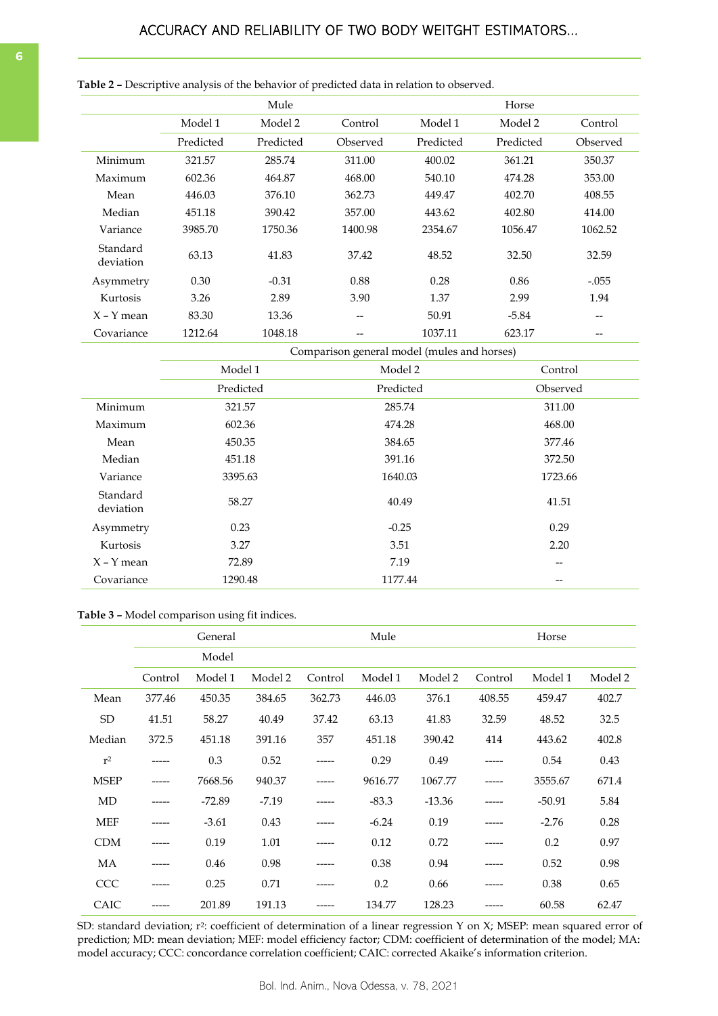|                       |           | Mule      |          |           | Horse     |          |
|-----------------------|-----------|-----------|----------|-----------|-----------|----------|
|                       | Model 1   | Model 2   | Control  | Model 1   | Model 2   | Control  |
|                       | Predicted | Predicted | Observed | Predicted | Predicted | Observed |
| Minimum               | 321.57    | 285.74    | 311.00   | 400.02    | 361.21    | 350.37   |
| Maximum               | 602.36    | 464.87    | 468.00   | 540.10    | 474.28    | 353.00   |
| Mean                  | 446.03    | 376.10    | 362.73   | 449.47    | 402.70    | 408.55   |
| Median                | 451.18    | 390.42    | 357.00   | 443.62    | 402.80    | 414.00   |
| Variance              | 3985.70   | 1750.36   | 1400.98  | 2354.67   | 1056.47   | 1062.52  |
| Standard<br>deviation | 63.13     | 41.83     | 37.42    | 48.52     | 32.50     | 32.59    |
| Asymmetry             | 0.30      | $-0.31$   | 0.88     | 0.28      | 0.86      | $-.055$  |
| Kurtosis              | 3.26      | 2.89      | 3.90     | 1.37      | 2.99      | 1.94     |
| $X - Y$ mean          | 83.30     | 13.36     | --       | 50.91     | $-5.84$   | --       |
| Covariance            | 1212.64   | 1048.18   | --       | 1037.11   | 623.17    | --       |

<span id="page-5-0"></span>**Table 2 –** Descriptive analysis of the behavior of predicted data in relation to observed.

Comparison general model (mules and horses)

|                       | Model 1   | Model 2   | Control  |
|-----------------------|-----------|-----------|----------|
|                       | Predicted | Predicted | Observed |
| Minimum               | 321.57    | 285.74    | 311.00   |
| Maximum               | 602.36    | 474.28    | 468.00   |
| Mean                  | 450.35    | 384.65    | 377.46   |
| Median                | 451.18    | 391.16    | 372.50   |
| Variance              | 3395.63   | 1640.03   | 1723.66  |
| Standard<br>deviation | 58.27     | 40.49     | 41.51    |
| Asymmetry             | 0.23      | $-0.25$   | 0.29     |
| Kurtosis              | 3.27      | 3.51      | 2.20     |
| $X - Y$ mean          | 72.89     | 7.19      | --       |
| Covariance            | 1290.48   | 1177.44   | --       |

#### **Table 3 –** Model comparison using fit indices.

|             | General |          |         |         | Mule    |          |         | Horse    |         |  |
|-------------|---------|----------|---------|---------|---------|----------|---------|----------|---------|--|
|             |         | Model    |         |         |         |          |         |          |         |  |
|             | Control | Model 1  | Model 2 | Control | Model 1 | Model 2  | Control | Model 1  | Model 2 |  |
| Mean        | 377.46  | 450.35   | 384.65  | 362.73  | 446.03  | 376.1    | 408.55  | 459.47   | 402.7   |  |
| SD          | 41.51   | 58.27    | 40.49   | 37.42   | 63.13   | 41.83    | 32.59   | 48.52    | 32.5    |  |
| Median      | 372.5   | 451.18   | 391.16  | 357     | 451.18  | 390.42   | 414     | 443.62   | 402.8   |  |
| $r^2$       | -----   | 0.3      | 0.52    | -----   | 0.29    | 0.49     |         | 0.54     | 0.43    |  |
| <b>MSEP</b> | -----   | 7668.56  | 940.37  | -----   | 9616.77 | 1067.77  |         | 3555.67  | 671.4   |  |
| MD          | -----   | $-72.89$ | $-7.19$ |         | $-83.3$ | $-13.36$ |         | $-50.91$ | 5.84    |  |
| <b>MEF</b>  | -----   | $-3.61$  | 0.43    | -----   | $-6.24$ | 0.19     |         | $-2.76$  | 0.28    |  |
| <b>CDM</b>  | -----   | 0.19     | 1.01    | -----   | 0.12    | 0.72     |         | 0.2      | 0.97    |  |
| MA          |         | 0.46     | 0.98    |         | 0.38    | 0.94     |         | 0.52     | 0.98    |  |
| <b>CCC</b>  | -----   | 0.25     | 0.71    |         | 0.2     | 0.66     |         | 0.38     | 0.65    |  |
| CAIC        |         | 201.89   | 191.13  |         | 134.77  | 128.23   |         | 60.58    | 62.47   |  |

SD: standard deviation; r<sup>2</sup>: coefficient of determination of a linear regression Y on X; MSEP: mean squared error of prediction; MD: mean deviation; MEF: model efficiency factor; CDM: coefficient of determination of the model; MA: model accuracy; CCC: concordance correlation coefficient; CAIC: corrected Akaike's information criterion.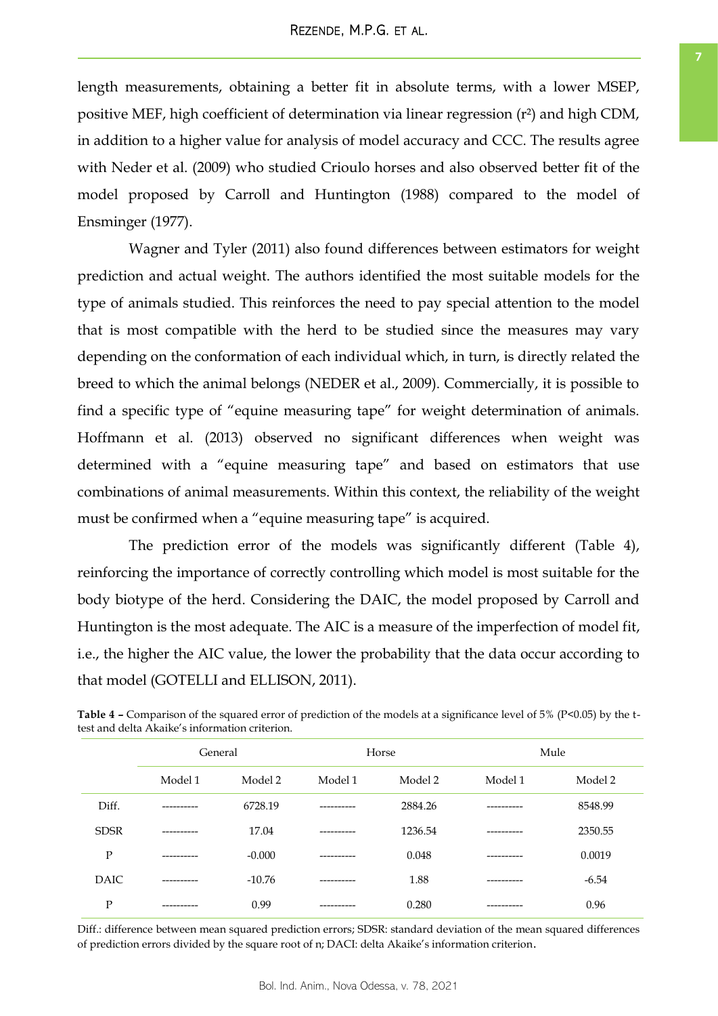length measurements, obtaining a better fit in absolute terms, with a lower MSEP, positive MEF, high coefficient of determination via linear regression (r²) and high CDM, in addition to a higher value for analysis of model accuracy and CCC. The results agree with Neder et al. (2009) who studied Crioulo horses and also observed better fit of the model proposed by Carroll and Huntington (1988) compared to the model of Ensminger (1977).

Wagner and Tyler (2011) also found differences between estimators for weight prediction and actual weight. The authors identified the most suitable models for the type of animals studied. This reinforces the need to pay special attention to the model that is most compatible with the herd to be studied since the measures may vary depending on the conformation of each individual which, in turn, is directly related the breed to which the animal belongs (NEDER et al., 2009). Commercially, it is possible to find a specific type of "equine measuring tape" for weight determination of animals. Hoffmann et al. (2013) observed no significant differences when weight was determined with a "equine measuring tape" and based on estimators that use combinations of animal measurements. Within this context, the reliability of the weight must be confirmed when a "equine measuring tape" is acquired.

The prediction error of the models was significantly different (Table 4), reinforcing the importance of correctly controlling which model is most suitable for the body biotype of the herd. Considering the DAIC, the model proposed by Carroll and Huntington is the most adequate. The AIC is a measure of the imperfection of model fit, i.e., the higher the AIC value, the lower the probability that the data occur according to that model (GOTELLI and ELLISON, 2011).

|             | General    |          |            | Horse   |            | Mule    |
|-------------|------------|----------|------------|---------|------------|---------|
|             | Model 1    | Model 2  | Model 1    | Model 2 | Model 1    | Model 2 |
| Diff.       | ---------- | 6728.19  | ---------  | 2884.26 | ---------  | 8548.99 |
| <b>SDSR</b> | ---------- | 17.04    | ---------  | 1236.54 | ---------  | 2350.55 |
| P           | ---------- | $-0.000$ | --------   | 0.048   | --------   | 0.0019  |
| <b>DAIC</b> | ---------- | $-10.76$ | ---------- | 1.88    | ---------- | $-6.54$ |
| P           |            | 0.99     |            | 0.280   |            | 0.96    |

**Table 4 – Comparison of the squared error of prediction of the models at a significance level of 5% (P<0.05) by the t**test and delta Akaike's information criterion.

Diff.: difference between mean squared prediction errors; SDSR: standard deviation of the mean squared differences of prediction errors divided by the square root of n; DACI: delta Akaike's information criterion.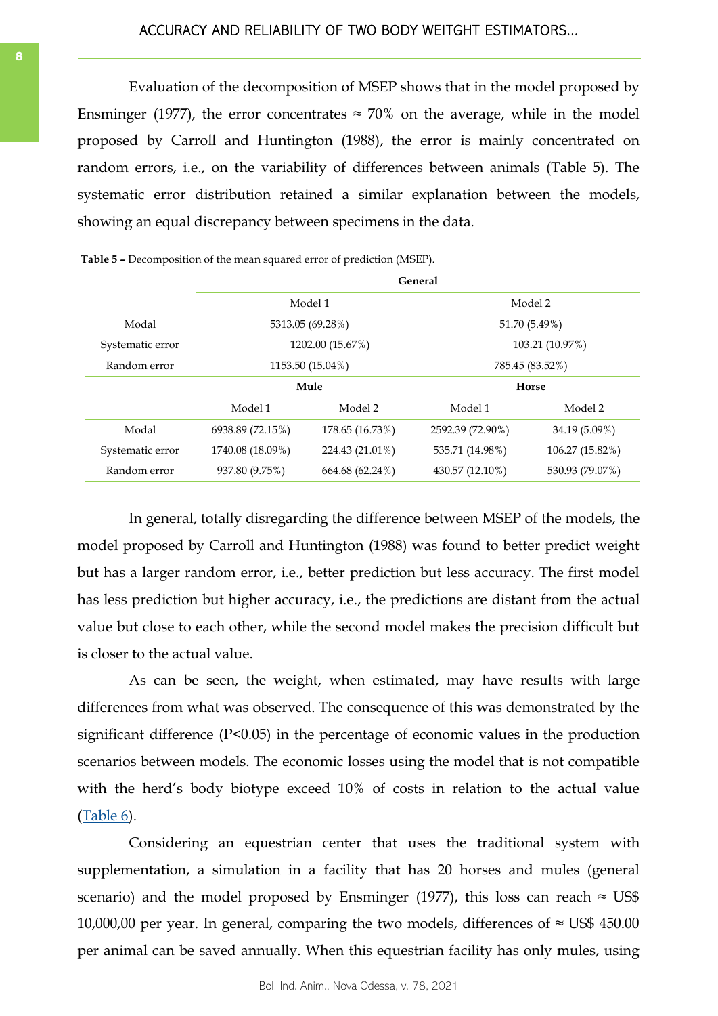Evaluation of the decomposition of MSEP shows that in the model proposed by Ensminger (1977), the error concentrates  $\approx 70\%$  on the average, while in the model proposed by Carroll and Huntington (1988), the error is mainly concentrated on random errors, i.e., on the variability of differences between animals (Table 5). The systematic error distribution retained a similar explanation between the models, showing an equal discrepancy between specimens in the data.

|                  |                  |                  | General          |                 |  |  |
|------------------|------------------|------------------|------------------|-----------------|--|--|
|                  |                  | Model 1          |                  | Model 2         |  |  |
| Modal            |                  | 5313.05 (69.28%) |                  | 51.70 (5.49%)   |  |  |
| Systematic error |                  | 1202.00 (15.67%) |                  | 103.21 (10.97%) |  |  |
| Random error     | 1153.50 (15.04%) |                  | 785.45 (83.52%)  |                 |  |  |
|                  |                  | Mule             |                  | Horse           |  |  |
|                  | Model 1          | Model 2          | Model 1          | Model 2         |  |  |
| Modal            | 6938.89 (72.15%) | 178.65 (16.73%)  | 2592.39 (72.90%) | 34.19 (5.09%)   |  |  |
| Systematic error | 1740.08 (18.09%) | 224.43 (21.01%)  | 535.71 (14.98%)  | 106.27 (15.82%) |  |  |
| Random error     | 937.80 (9.75%)   | 664.68 (62.24%)  | 430.57 (12.10%)  | 530.93 (79.07%) |  |  |

|  | <b>Table 5 –</b> Decomposition of the mean squared error of prediction (MSEP). |  |  |  |
|--|--------------------------------------------------------------------------------|--|--|--|
|--|--------------------------------------------------------------------------------|--|--|--|

In general, totally disregarding the difference between MSEP of the models, the model proposed by Carroll and Huntington (1988) was found to better predict weight but has a larger random error, i.e., better prediction but less accuracy. The first model has less prediction but higher accuracy, i.e., the predictions are distant from the actual value but close to each other, while the second model makes the precision difficult but is closer to the actual value.

As can be seen, the weight, when estimated, may have results with large differences from what was observed. The consequence of this was demonstrated by the significant difference (P<0.05) in the percentage of economic values in the production scenarios between models. The economic losses using the model that is not compatible with the herd's body biotype exceed 10% of costs in relation to the actual value [\(Table](#page-8-0) 6).

Considering an equestrian center that uses the traditional system with supplementation, a simulation in a facility that has 20 horses and mules (general scenario) and the model proposed by Ensminger (1977), this loss can reach  $\approx$  US\$ 10,000,00 per year. In general, comparing the two models, differences of  $\approx$  US\$ 450.00 per animal can be saved annually. When this equestrian facility has only mules, using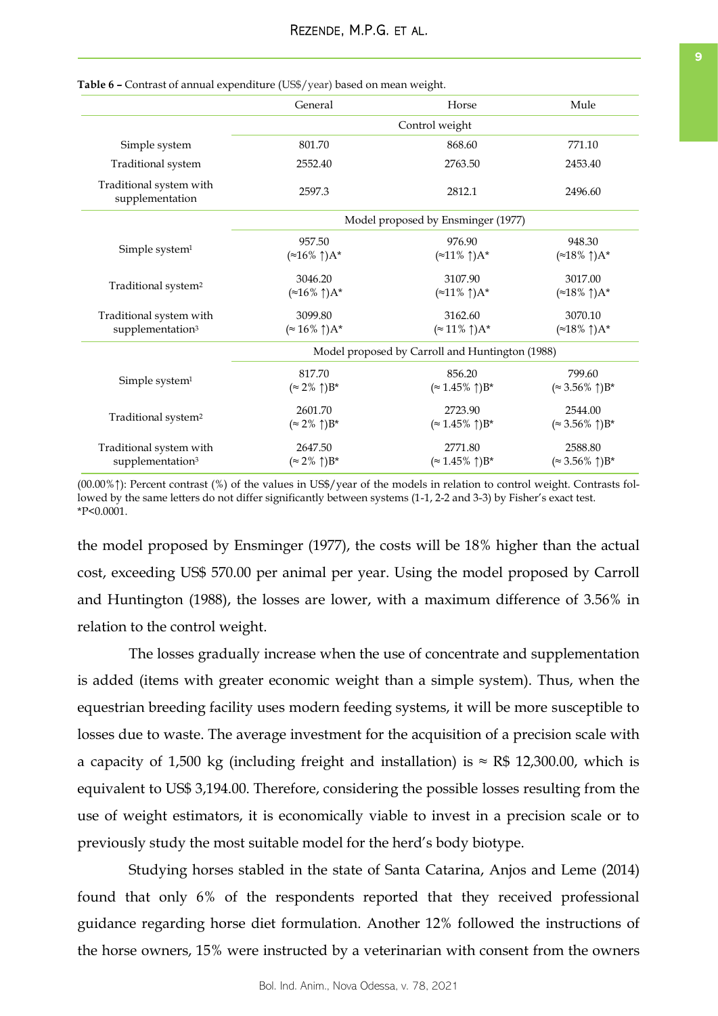|                                            | General                            | Horse                                           | Mule                           |  |  |  |
|--------------------------------------------|------------------------------------|-------------------------------------------------|--------------------------------|--|--|--|
|                                            |                                    |                                                 |                                |  |  |  |
| Simple system                              | 801.70                             | 868.60                                          | 771.10                         |  |  |  |
| Traditional system                         | 2552.40                            | 2763.50                                         | 2453.40                        |  |  |  |
| Traditional system with<br>supplementation | 2597.3                             | 2812.1                                          | 2496.60                        |  |  |  |
|                                            | Model proposed by Ensminger (1977) |                                                 |                                |  |  |  |
|                                            | 957.50                             | 976.90                                          | 948.30                         |  |  |  |
| Simple system <sup>1</sup>                 | $(*16\% \uparrow)$ A*              | $(*11\% \uparrow)A^*$                           | $(*18\% \uparrow)A^*$          |  |  |  |
|                                            | 3046.20                            | 3107.90                                         | 3017.00                        |  |  |  |
| Traditional system <sup>2</sup>            | $(*16\% \uparrow)A^*$              | $(*11\% \uparrow)A^*$                           | $(*18\% \uparrow)A^*$          |  |  |  |
| Traditional system with                    | 3099.80                            | 3162.60                                         | 3070.10                        |  |  |  |
| supplementation <sup>3</sup>               | $(* 16\% \uparrow)$ A*             | $(\approx 11\% \uparrow)A^*$                    | $(*18\% \uparrow)A^*$          |  |  |  |
|                                            |                                    | Model proposed by Carroll and Huntington (1988) |                                |  |  |  |
|                                            | 817.70                             | 856.20                                          | 799.60                         |  |  |  |
| Simple system <sup>1</sup>                 | $(\approx 2\% \uparrow) B^*$       | $(\approx 1.45\% \uparrow)B^*$                  | $(\approx 3.56\% \uparrow)B^*$ |  |  |  |
|                                            | 2601.70                            | 2723.90                                         | 2544.00                        |  |  |  |
| Traditional system <sup>2</sup>            | $(\approx 2\% \uparrow) B^*$       | $(\approx 1.45\% \uparrow)B^*$                  | $(\approx 3.56\% \uparrow)B^*$ |  |  |  |
| Traditional system with                    | 2647.50                            | 2771.80                                         | 2588.80                        |  |  |  |
| supplementation <sup>3</sup>               | $(\approx 2\% \uparrow) B^*$       | $(\approx 1.45\% \uparrow) B^*$                 | $(\approx 3.56\% \uparrow)B^*$ |  |  |  |

#### <span id="page-8-0"></span>**Table 6 –** Contrast of annual expenditure (US\$/year) based on mean weight.

(00.00%↑): Percent contrast (%) of the values in US\$/year of the models in relation to control weight. Contrasts followed by the same letters do not differ significantly between systems (1-1, 2-2 and 3-3) by Fisher's exact test. \*P<0.0001.

the model proposed by Ensminger (1977), the costs will be 18% higher than the actual cost, exceeding US\$ 570.00 per animal per year. Using the model proposed by Carroll and Huntington (1988), the losses are lower, with a maximum difference of 3.56% in relation to the control weight.

The losses gradually increase when the use of concentrate and supplementation is added (items with greater economic weight than a simple system). Thus, when the equestrian breeding facility uses modern feeding systems, it will be more susceptible to losses due to waste. The average investment for the acquisition of a precision scale with a capacity of 1,500 kg (including freight and installation) is  $\approx$  R\$ 12,300.00, which is equivalent to US\$ 3,194.00. Therefore, considering the possible losses resulting from the use of weight estimators, it is economically viable to invest in a precision scale or to previously study the most suitable model for the herd's body biotype.

Studying horses stabled in the state of Santa Catarina, Anjos and Leme (2014) found that only 6% of the respondents reported that they received professional guidance regarding horse diet formulation. Another 12% followed the instructions of the horse owners, 15% were instructed by a veterinarian with consent from the owners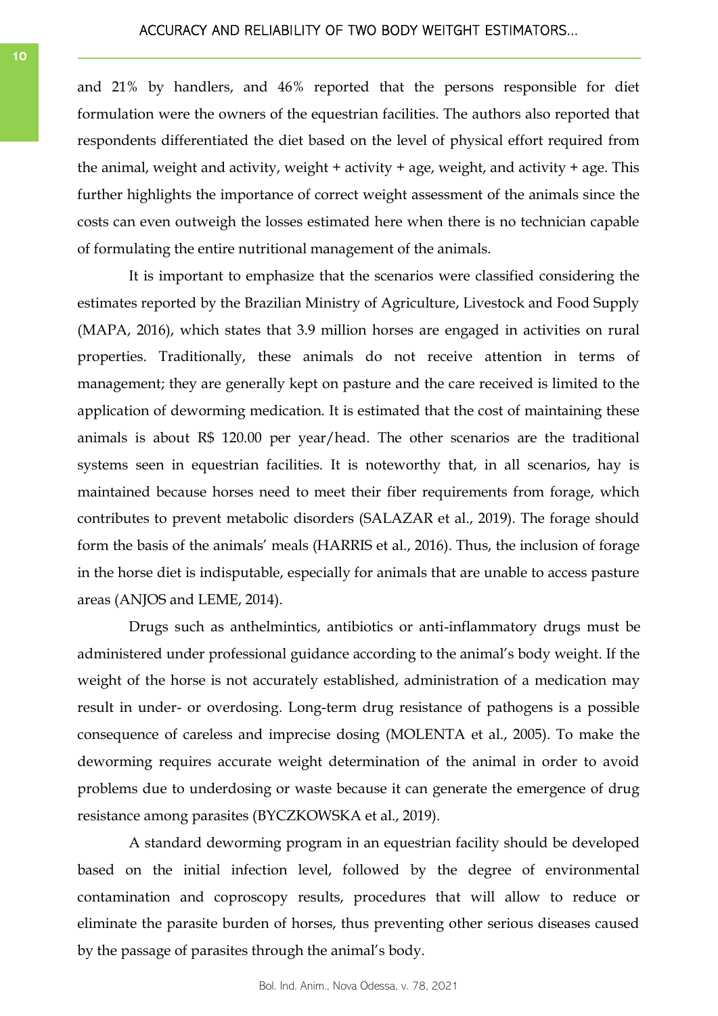and 21% by handlers, and 46% reported that the persons responsible for diet formulation were the owners of the equestrian facilities. The authors also reported that respondents differentiated the diet based on the level of physical effort required from the animal, weight and activity, weight  $+$  activity  $+$  age, weight, and activity  $+$  age. This further highlights the importance of correct weight assessment of the animals since the costs can even outweigh the losses estimated here when there is no technician capable of formulating the entire nutritional management of the animals.

It is important to emphasize that the scenarios were classified considering the estimates reported by the Brazilian Ministry of Agriculture, Livestock and Food Supply (MAPA, 2016), which states that 3.9 million horses are engaged in activities on rural properties. Traditionally, these animals do not receive attention in terms of management; they are generally kept on pasture and the care received is limited to the application of deworming medication. It is estimated that the cost of maintaining these animals is about R\$ 120.00 per year/head. The other scenarios are the traditional systems seen in equestrian facilities. It is noteworthy that, in all scenarios, hay is maintained because horses need to meet their fiber requirements from forage, which contributes to prevent metabolic disorders (SALAZAR et al., 2019). The forage should form the basis of the animals' meals (HARRIS et al., 2016). Thus, the inclusion of forage in the horse diet is indisputable, especially for animals that are unable to access pasture areas (ANJOS and LEME, 2014).

Drugs such as anthelmintics, antibiotics or anti-inflammatory drugs must be administered under professional guidance according to the animal's body weight. If the weight of the horse is not accurately established, administration of a medication may result in under- or overdosing. Long-term drug resistance of pathogens is a possible consequence of careless and imprecise dosing (MOLENTA et al., 2005). To make the deworming requires accurate weight determination of the animal in order to avoid problems due to underdosing or waste because it can generate the emergence of drug resistance among parasites (BYCZKOWSKA et al., 2019).

A standard deworming program in an equestrian facility should be developed based on the initial infection level, followed by the degree of environmental contamination and coproscopy results, procedures that will allow to reduce or eliminate the parasite burden of horses, thus preventing other serious diseases caused by the passage of parasites through the animal's body.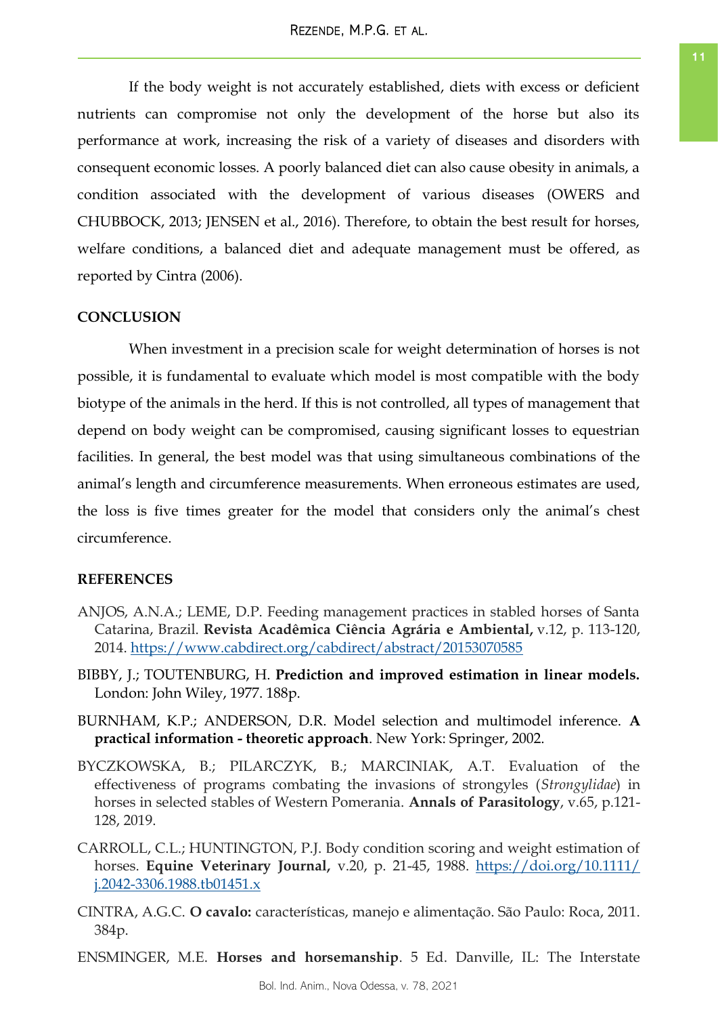If the body weight is not accurately established, diets with excess or deficient nutrients can compromise not only the development of the horse but also its performance at work, increasing the risk of a variety of diseases and disorders with consequent economic losses. A poorly balanced diet can also cause obesity in animals, a condition associated with the development of various diseases (OWERS and CHUBBOCK, 2013; JENSEN et al., 2016). Therefore, to obtain the best result for horses, welfare conditions, a balanced diet and adequate management must be offered, as reported by Cintra (2006).

# **CONCLUSION**

When investment in a precision scale for weight determination of horses is not possible, it is fundamental to evaluate which model is most compatible with the body biotype of the animals in the herd. If this is not controlled, all types of management that depend on body weight can be compromised, causing significant losses to equestrian facilities. In general, the best model was that using simultaneous combinations of the animal's length and circumference measurements. When erroneous estimates are used, the loss is five times greater for the model that considers only the animal's chest circumference.

# **REFERENCES**

- ANJOS, A.N.A.; LEME, D.P. Feeding management practices in stabled horses of Santa Catarina, Brazil. **Revista Acadêmica Ciência Agrária e Ambiental,** v.12, p. 113-120, 2014.<https://www.cabdirect.org/cabdirect/abstract/20153070585>
- BIBBY, J.; TOUTENBURG, H. **Prediction and improved estimation in linear models.** London: John Wiley, 1977. 188p.
- BURNHAM, K.P.; ANDERSON, D.R. Model selection and multimodel inference. **A practical information - theoretic approach**. New York: Springer, 2002.
- BYCZKOWSKA, B.; PILARCZYK, B.; MARCINIAK, A.T. Evaluation of the effectiveness of programs combating the invasions of strongyles (*Strongylidae*) in horses in selected stables of Western Pomerania. **Annals of Parasitology**, v.65, p.121- 128, 2019.
- CARROLL, C.L.; HUNTINGTON, P.J. Body condition scoring and weight estimation of horses. **Equine Veterinary Journal,** v.20, p. 21-45, 1988. [https://doi.org/10.1111/](https://doi.org/10.1111/j.2042-3306.1988.tb01451.x) [j.2042-3306.1988.tb01451.x](https://doi.org/10.1111/j.2042-3306.1988.tb01451.x)
- CINTRA, A.G.C. **O cavalo:** características, manejo e alimentação. São Paulo: Roca, 2011. 384p.

ENSMINGER, M.E. **Horses and horsemanship**. 5 Ed. Danville, IL: The Interstate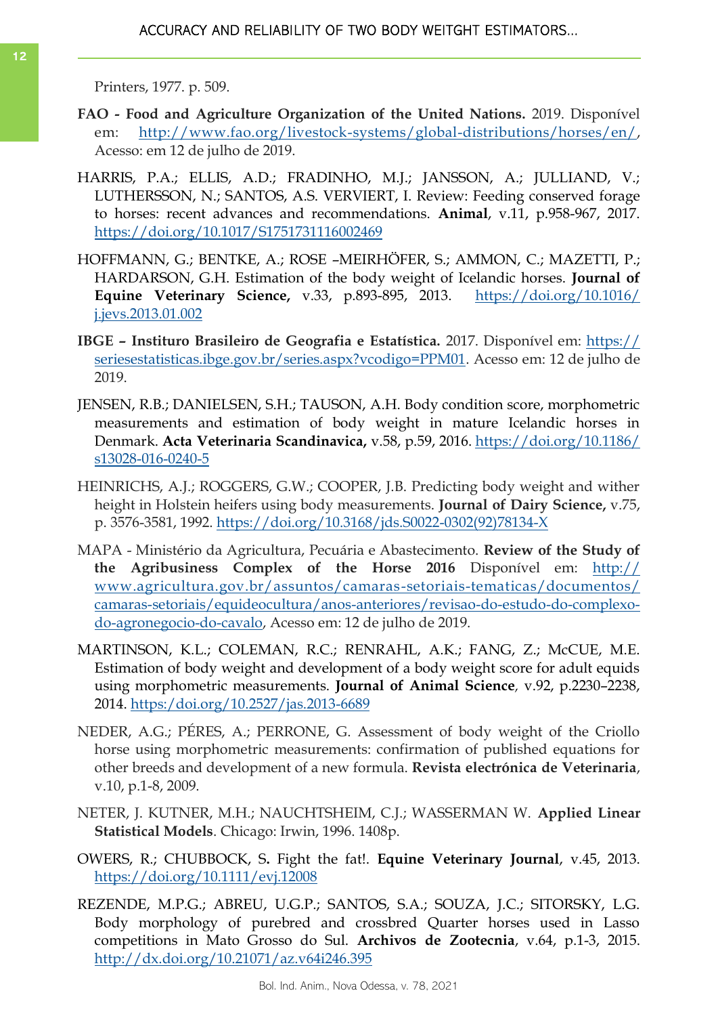Printers, 1977. p. 509.

- **FAO - Food and Agriculture Organization of the United Nations.** 2019. Disponível em: [http://www.fao.org/livestock-systems/global-distributions/horses/en/,](http://www.fao.org/livestock-systems/global-distributions/horses/en/) Acesso: em 12 de julho de 2019.
- [HARRIS, P.A.; ELLIS, A.D.; FRADINHO, M.J.; JANSSON, A.; JULLIAND, V.;](https://www.cambridge.org/core/search?filters%5BauthorTerms%5D=P.%20A.%20Harris%20&eventCode=SE-AU)  [LUTHERSSON, N.; SANTOS, A.S.](https://www.cambridge.org/core/search?filters%5BauthorTerms%5D=P.%20A.%20Harris%20&eventCode=SE-AU) VERVIERT, I. Review: Feeding conserved forage to horses: recent advances and recommendations. **Animal**, v.11, p.958-967, 2017. <https://doi.org/10.1017/S1751731116002469>
- HOFFMANN, G.; BENTKE, A.; ROSE –MEIRHÖFER, S.; AMMON, C.; MAZETTI, P.; HARDARSON, G.H. Estimation of the body weight of Icelandic horses. **[Journal of](https://www.sciencedirect.com/science/journal/07370806)  [Equine Veterinary Science,](https://www.sciencedirect.com/science/journal/07370806)** v[.33, p.8](https://www.sciencedirect.com/science/journal/07370806/33/11)93-895, 2013. [https://doi.org/10.1016/](https://doi.org/10.1016/j.jevs.2013.01.002) [j.jevs.2013.01.002](https://doi.org/10.1016/j.jevs.2013.01.002)
- **IBGE – Instituro Brasileiro de Geografia e Estatística.** 2017. Disponível em: [https://](https://seriesestatisticas.ibge.gov.br/series.aspx?vcodigo=PPM01) [seriesestatisticas.ibge.gov.br/series.aspx?vcodigo=PPM01.](https://seriesestatisticas.ibge.gov.br/series.aspx?vcodigo=PPM01) Acesso em: 12 de julho de 2019.
- JENSEN, R.B.; DANIELSEN, S.H.; TAUSON, A.H. Body condition score, morphometric measurements and estimation of body weight in mature Icelandic horses in Denmark. **Acta Veterinaria Scandinavica,** v.58, p.59, 2016. [https://doi.org/10.1186/](https://doi.org/10.1186/s13028-016-0240-5) [s13028-016-0240-5](https://doi.org/10.1186/s13028-016-0240-5)
- HEINRICHS, A.J.; ROGGERS, G.W.; COOPER, J.B. Predicting body weight and wither height in Holstein heifers using body measurements. **Journal of Dairy Science,** v.75, p. 3576-3581, 1992. [https://doi.org/10.3168/jds.S0022-0302\(92\)78134-X](https://doi.org/10.3168/jds.S0022-0302(92)78134-X)
- MAPA Ministério da Agricultura, Pecuária e Abastecimento. **Review of the Study of the Agribusiness Complex of the Horse 2016** Disponível em: [http://](http://www.agricultura.gov.br/assuntos/camaras-setoriais-tematicas/documentos/camaras-setoriais/equideocultura/anos-anteriores/revisao-do-estudo-do-complexo-do-agronegocio-do-cavalo) [www.agricultura.gov.br/assuntos/camaras-setoriais-tematicas/documentos/](http://www.agricultura.gov.br/assuntos/camaras-setoriais-tematicas/documentos/camaras-setoriais/equideocultura/anos-anteriores/revisao-do-estudo-do-complexo-do-agronegocio-do-cavalo) [camaras-setoriais/equideocultura/anos-anteriores/revisao-do-estudo-do-complexo](http://www.agricultura.gov.br/assuntos/camaras-setoriais-tematicas/documentos/camaras-setoriais/equideocultura/anos-anteriores/revisao-do-estudo-do-complexo-do-agronegocio-do-cavalo)[do-agronegocio-do-cavalo,](http://www.agricultura.gov.br/assuntos/camaras-setoriais-tematicas/documentos/camaras-setoriais/equideocultura/anos-anteriores/revisao-do-estudo-do-complexo-do-agronegocio-do-cavalo) Acesso em: 12 de julho de 2019.
- MARTINSON, K.L.; COLEMAN, R.C.; RENRAHL, A.K.; FANG, Z.; McCUE, M.E. Estimation of body weight and development of a body weight score for adult equids using morphometric measurements. **Journal of Animal Science***,* v.92, p.2230–2238, 2014. <https:/doi.org/10.2527/jas.2013-6689>
- NEDER, A.G.; PÉRES, A.; PERRONE, G. Assessment of body weight of the Criollo horse using morphometric measurements: confirmation of published equations for other breeds and development of a new formula. **Revista electrónica de Veterinaria**, v.10, p.1-8, 2009.
- NETER, J. KUTNER, M.H.; NAUCHTSHEIM, C.J.; WASSERMAN W. **Applied Linear Statistical Models**. Chicago: Irwin, 1996. 1408p.
- OWERS, R.; CHUBBOCK, S**.** Fight the fat!. **Equine Veterinary Journal**, v.45, 2013. <https://doi.org/10.1111/evj.12008>
- REZENDE, M.P.G.; ABREU, U.G.P.; SANTOS, S.A.; SOUZA, J.C.; SITORSKY, L.G. Body morphology of purebred and crossbred Quarter horses used in Lasso competitions in Mato Grosso do Sul. **Archivos de Zootecnia**, v.64, p.1-3, 2015. <http://dx.doi.org/10.21071/az.v64i246.395>